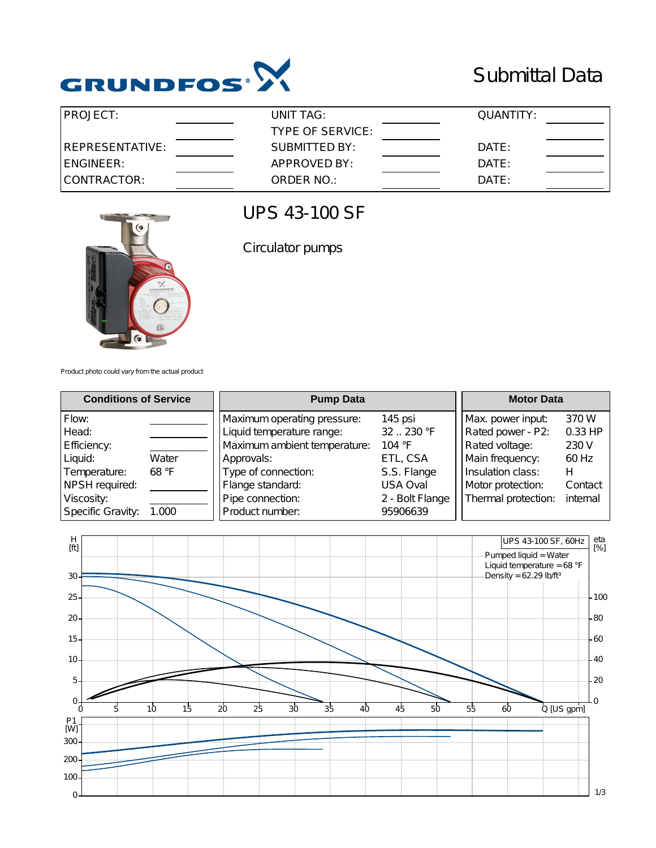

## Submittal Data

| <b>PROJECT:</b>  | UNIT TAG:        | QUANTITY: |  |
|------------------|------------------|-----------|--|
|                  | TYPE OF SERVICE: |           |  |
| IREPRESENTATIVE: | SUBMITTED BY:    | DATE:     |  |
| IENGINEER:       | APPROVED BY:     | DATE:     |  |
| CONTRACTOR:      | ORDER NO.:       | DATE:     |  |



## UPS 43-100 SF

Circulator pumps

Product photo could vary from the actual product

| <b>Conditions of Service</b> |       | <b>Pump Data</b>                                         |                     | <b>Motor Data</b>                      |                  |
|------------------------------|-------|----------------------------------------------------------|---------------------|----------------------------------------|------------------|
| Flow:<br>Head:               |       | Maximum operating pressure:<br>Liquid temperature range: | 145 psi<br>32230 °F | Max. power input:<br>Rated power - P2: | 370 W<br>0.33 HP |
| Efficiency:                  |       | Maximum ambient temperature:                             | 104 $\degree$ F     | Rated voltage:                         | 230 V            |
| Liquid:                      | Water | Approvals:                                               | ETL, CSA            | Main frequency:                        | 60 Hz            |
| Temperature:                 | 68 °F | Type of connection:                                      | S.S. Flange         | Insulation class:                      | н                |
| NPSH required:               |       | Flange standard:                                         | <b>USA Oval</b>     | Motor protection:                      | Contact          |
| Viscosity:                   |       | Pipe connection:                                         | 2 - Bolt Flange     | Thermal protection:                    | internal         |
| Specific Gravity:            | 1.000 | Product number:                                          | 95906639            |                                        |                  |

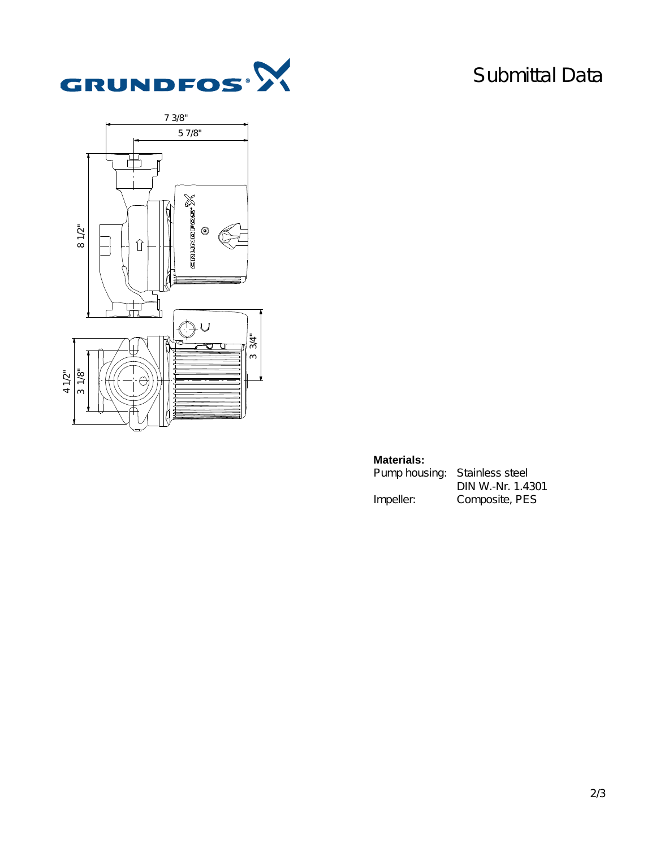

## Submittal Data



## **Materials:**

| Pump housing: Stainless steel |                   |  |  |
|-------------------------------|-------------------|--|--|
|                               | DIN W.-Nr. 1.4301 |  |  |
| Impeller:                     | Composite, PES    |  |  |